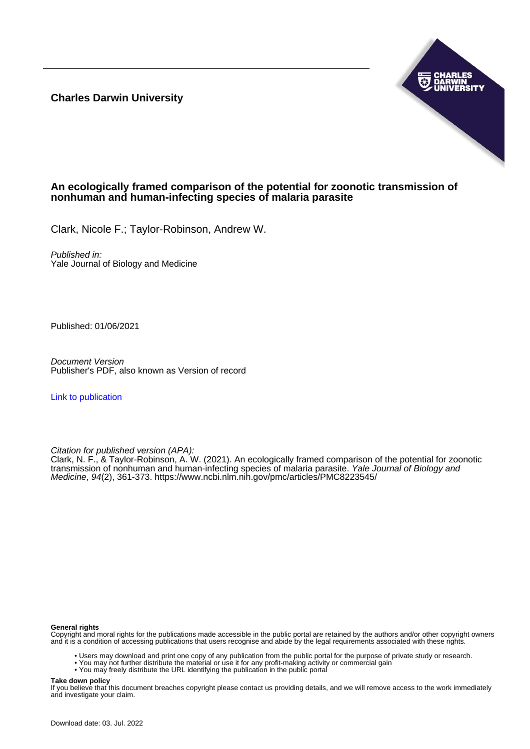**Charles Darwin University**



# **An ecologically framed comparison of the potential for zoonotic transmission of nonhuman and human-infecting species of malaria parasite**

Clark, Nicole F.; Taylor-Robinson, Andrew W.

Published in: Yale Journal of Biology and Medicine

Published: 01/06/2021

Document Version Publisher's PDF, also known as Version of record

[Link to publication](https://researchers.cdu.edu.au/en/publications/f6fe3f91-14c3-4c0c-b452-696fb07f1a2a)

Citation for published version (APA):

Clark, N. F., & Taylor-Robinson, A. W. (2021). An ecologically framed comparison of the potential for zoonotic transmission of nonhuman and human-infecting species of malaria parasite. *Yale Journal of Biology and* Medicine, 94(2), 361-373. <https://www.ncbi.nlm.nih.gov/pmc/articles/PMC8223545/>

#### **General rights**

Copyright and moral rights for the publications made accessible in the public portal are retained by the authors and/or other copyright owners and it is a condition of accessing publications that users recognise and abide by the legal requirements associated with these rights.

- Users may download and print one copy of any publication from the public portal for the purpose of private study or research.
- You may not further distribute the material or use it for any profit-making activity or commercial gain
- You may freely distribute the URL identifying the publication in the public portal

#### **Take down policy**

If you believe that this document breaches copyright please contact us providing details, and we will remove access to the work immediately and investigate your claim.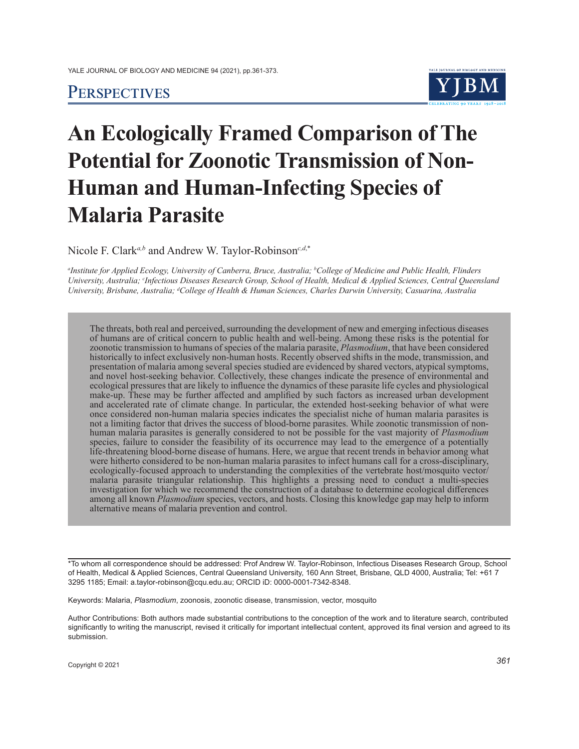# **PERSPECTIVES**



# **An Ecologically Framed Comparison of The Potential for Zoonotic Transmission of Non-Human and Human-Infecting Species of Malaria Parasite**

Nicole F. Clark*a,b* and Andrew W. Taylor-Robinson*c,d*,\*

*a Institute for Applied Ecology, University of Canberra, Bruce, Australia; b College of Medicine and Public Health, Flinders University, Australia; c Infectious Diseases Research Group, School of Health, Medical & Applied Sciences, Central Queensland University, Brisbane, Australia; d College of Health & Human Sciences, Charles Darwin University, Casuarina, Australia*

The threats, both real and perceived, surrounding the development of new and emerging infectious diseases of humans are of critical concern to public health and well-being. Among these risks is the potential for zoonotic transmission to humans of species of the malaria parasite, *Plasmodium*, that have been considered historically to infect exclusively non-human hosts. Recently observed shifts in the mode, transmission, and presentation of malaria among several species studied are evidenced by shared vectors, atypical symptoms, and novel host-seeking behavior. Collectively, these changes indicate the presence of environmental and ecological pressures that are likely to influence the dynamics of these parasite life cycles and physiological make-up. These may be further affected and amplified by such factors as increased urban development and accelerated rate of climate change. In particular, the extended host-seeking behavior of what were once considered non-human malaria species indicates the specialist niche of human malaria parasites is not a limiting factor that drives the success of blood-borne parasites. While zoonotic transmission of nonhuman malaria parasites is generally considered to not be possible for the vast majority of *Plasmodium* species, failure to consider the feasibility of its occurrence may lead to the emergence of a potentially life-threatening blood-borne disease of humans. Here, we argue that recent trends in behavior among what were hitherto considered to be non-human malaria parasites to infect humans call for a cross-disciplinary, ecologically-focused approach to understanding the complexities of the vertebrate host/mosquito vector/ malaria parasite triangular relationship. This highlights a pressing need to conduct a multi-species investigation for which we recommend the construction of a database to determine ecological differences among all known *Plasmodium* species, vectors, and hosts. Closing this knowledge gap may help to inform alternative means of malaria prevention and control.

\*To whom all correspondence should be addressed: Prof Andrew W. Taylor-Robinson, Infectious Diseases Research Group, School of Health, Medical & Applied Sciences, Central Queensland University, 160 Ann Street, Brisbane, QLD 4000, Australia; Tel: +61 7 3295 1185; Email: a.taylor-robinson@cqu.edu.au; ORCID iD: 0000-0001-7342-8348.

Keywords: Malaria, *Plasmodium*, zoonosis, zoonotic disease, transmission, vector, mosquito

Author Contributions: Both authors made substantial contributions to the conception of the work and to literature search, contributed significantly to writing the manuscript, revised it critically for important intellectual content, approved its final version and agreed to its submission.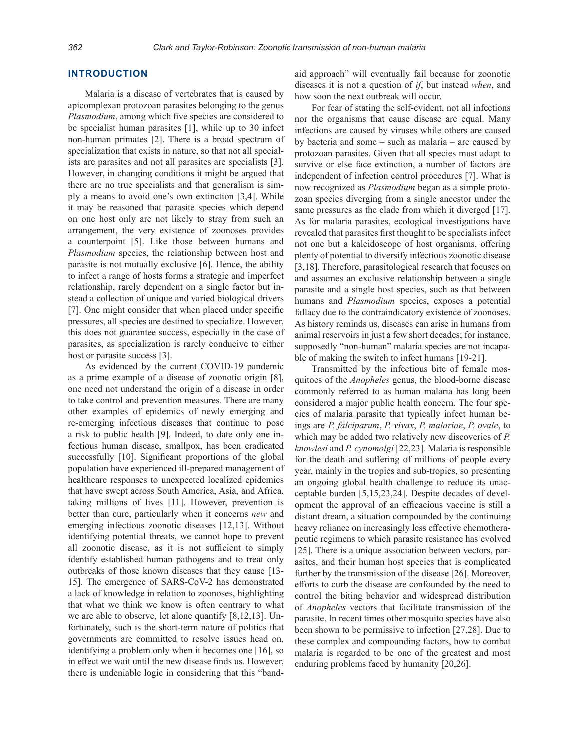## **INTRODUCTION**

Malaria is a disease of vertebrates that is caused by apicomplexan protozoan parasites belonging to the genus *Plasmodium*, among which five species are considered to be specialist human parasites [1], while up to 30 infect non-human primates [2]. There is a broad spectrum of specialization that exists in nature, so that not all specialists are parasites and not all parasites are specialists [3]. However, in changing conditions it might be argued that there are no true specialists and that generalism is simply a means to avoid one's own extinction [3,4]. While it may be reasoned that parasite species which depend on one host only are not likely to stray from such an arrangement, the very existence of zoonoses provides a counterpoint [5]. Like those between humans and *Plasmodium* species, the relationship between host and parasite is not mutually exclusive [6]. Hence, the ability to infect a range of hosts forms a strategic and imperfect relationship, rarely dependent on a single factor but instead a collection of unique and varied biological drivers [7]. One might consider that when placed under specific pressures, all species are destined to specialize. However, this does not guarantee success, especially in the case of parasites, as specialization is rarely conducive to either host or parasite success [3].

As evidenced by the current COVID-19 pandemic as a prime example of a disease of zoonotic origin [8], one need not understand the origin of a disease in order to take control and prevention measures. There are many other examples of epidemics of newly emerging and re-emerging infectious diseases that continue to pose a risk to public health [9]. Indeed, to date only one infectious human disease, smallpox, has been eradicated successfully [10]. Significant proportions of the global population have experienced ill-prepared management of healthcare responses to unexpected localized epidemics that have swept across South America, Asia, and Africa, taking millions of lives [11]. However, prevention is better than cure, particularly when it concerns *new* and emerging infectious zoonotic diseases [12,13]. Without identifying potential threats, we cannot hope to prevent all zoonotic disease, as it is not sufficient to simply identify established human pathogens and to treat only outbreaks of those known diseases that they cause [13- 15]. The emergence of SARS-CoV-2 has demonstrated a lack of knowledge in relation to zoonoses, highlighting that what we think we know is often contrary to what we are able to observe, let alone quantify [8,12,13]. Unfortunately, such is the short-term nature of politics that governments are committed to resolve issues head on, identifying a problem only when it becomes one [16], so in effect we wait until the new disease finds us. However, there is undeniable logic in considering that this "bandaid approach" will eventually fail because for zoonotic diseases it is not a question of *if*, but instead *when*, and how soon the next outbreak will occur.

For fear of stating the self-evident, not all infections nor the organisms that cause disease are equal. Many infections are caused by viruses while others are caused by bacteria and some – such as malaria – are caused by protozoan parasites. Given that all species must adapt to survive or else face extinction, a number of factors are independent of infection control procedures [7]. What is now recognized as *Plasmodium* began as a simple protozoan species diverging from a single ancestor under the same pressures as the clade from which it diverged [17]. As for malaria parasites, ecological investigations have revealed that parasites first thought to be specialists infect not one but a kaleidoscope of host organisms, offering plenty of potential to diversify infectious zoonotic disease [3,18]. Therefore, parasitological research that focuses on and assumes an exclusive relationship between a single parasite and a single host species, such as that between humans and *Plasmodium* species, exposes a potential fallacy due to the contraindicatory existence of zoonoses. As history reminds us, diseases can arise in humans from animal reservoirs in just a few short decades; for instance, supposedly "non-human" malaria species are not incapable of making the switch to infect humans [19-21].

Transmitted by the infectious bite of female mosquitoes of the *Anopheles* genus, the blood-borne disease commonly referred to as human malaria has long been considered a major public health concern. The four species of malaria parasite that typically infect human beings are *P. falciparum*, *P. vivax*, *P. malariae*, *P. ovale*, to which may be added two relatively new discoveries of *P. knowlesi* and *P. cynomolgi* [22,23]*.* Malaria is responsible for the death and suffering of millions of people every year, mainly in the tropics and sub-tropics, so presenting an ongoing global health challenge to reduce its unacceptable burden [5,15,23,24]. Despite decades of development the approval of an efficacious vaccine is still a distant dream, a situation compounded by the continuing heavy reliance on increasingly less effective chemotherapeutic regimens to which parasite resistance has evolved [25]. There is a unique association between vectors, parasites, and their human host species that is complicated further by the transmission of the disease [26]. Moreover, efforts to curb the disease are confounded by the need to control the biting behavior and widespread distribution of *Anopheles* vectors that facilitate transmission of the parasite. In recent times other mosquito species have also been shown to be permissive to infection [27,28]. Due to these complex and compounding factors, how to combat malaria is regarded to be one of the greatest and most enduring problems faced by humanity [20,26].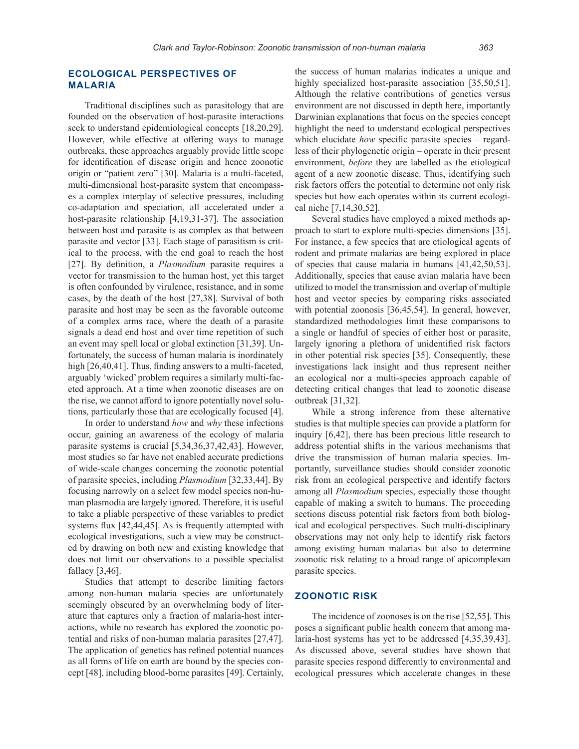# **ECOLOGICAL PERSPECTIVES OF MALARIA**

Traditional disciplines such as parasitology that are founded on the observation of host-parasite interactions seek to understand epidemiological concepts [18,20,29]. However, while effective at offering ways to manage outbreaks, these approaches arguably provide little scope for identification of disease origin and hence zoonotic origin or "patient zero" [30]. Malaria is a multi-faceted, multi-dimensional host-parasite system that encompasses a complex interplay of selective pressures, including co-adaptation and speciation, all accelerated under a host-parasite relationship [4,19,31-37]. The association between host and parasite is as complex as that between parasite and vector [33]. Each stage of parasitism is critical to the process, with the end goal to reach the host [27]. By definition, a *Plasmodium* parasite requires a vector for transmission to the human host, yet this target is often confounded by virulence, resistance, and in some cases, by the death of the host [27,38]. Survival of both parasite and host may be seen as the favorable outcome of a complex arms race, where the death of a parasite signals a dead end host and over time repetition of such an event may spell local or global extinction [31,39]. Unfortunately, the success of human malaria is inordinately high [26,40,41]. Thus, finding answers to a multi-faceted, arguably 'wicked' problem requires a similarly multi-faceted approach. At a time when zoonotic diseases are on the rise, we cannot afford to ignore potentially novel solutions, particularly those that are ecologically focused [4].

In order to understand *how* and *why* these infections occur, gaining an awareness of the ecology of malaria parasite systems is crucial [5,34,36,37,42,43]. However, most studies so far have not enabled accurate predictions of wide-scale changes concerning the zoonotic potential of parasite species, including *Plasmodium* [32,33,44]. By focusing narrowly on a select few model species non-human plasmodia are largely ignored. Therefore, it is useful to take a pliable perspective of these variables to predict systems flux [42,44,45]. As is frequently attempted with ecological investigations, such a view may be constructed by drawing on both new and existing knowledge that does not limit our observations to a possible specialist fallacy [3,46].

Studies that attempt to describe limiting factors among non-human malaria species are unfortunately seemingly obscured by an overwhelming body of literature that captures only a fraction of malaria-host interactions, while no research has explored the zoonotic potential and risks of non-human malaria parasites [27,47]. The application of genetics has refined potential nuances as all forms of life on earth are bound by the species concept [48], including blood-borne parasites [49]. Certainly, the success of human malarias indicates a unique and highly specialized host-parasite association [35,50,51]. Although the relative contributions of genetics versus environment are not discussed in depth here, importantly Darwinian explanations that focus on the species concept highlight the need to understand ecological perspectives which elucidate *how* specific parasite species – regardless of their phylogenetic origin – operate in their present environment, *before* they are labelled as the etiological agent of a new zoonotic disease. Thus, identifying such risk factors offers the potential to determine not only risk species but how each operates within its current ecological niche [7,14,30,52].

Several studies have employed a mixed methods approach to start to explore multi-species dimensions [35]. For instance, a few species that are etiological agents of rodent and primate malarias are being explored in place of species that cause malaria in humans [41,42,50,53]. Additionally, species that cause avian malaria have been utilized to model the transmission and overlap of multiple host and vector species by comparing risks associated with potential zoonosis [36,45,54]. In general, however, standardized methodologies limit these comparisons to a single or handful of species of either host or parasite, largely ignoring a plethora of unidentified risk factors in other potential risk species [35]. Consequently, these investigations lack insight and thus represent neither an ecological nor a multi-species approach capable of detecting critical changes that lead to zoonotic disease outbreak [31,32].

While a strong inference from these alternative studies is that multiple species can provide a platform for inquiry [6,42], there has been precious little research to address potential shifts in the various mechanisms that drive the transmission of human malaria species. Importantly, surveillance studies should consider zoonotic risk from an ecological perspective and identify factors among all *Plasmodium* species, especially those thought capable of making a switch to humans. The proceeding sections discuss potential risk factors from both biological and ecological perspectives. Such multi-disciplinary observations may not only help to identify risk factors among existing human malarias but also to determine zoonotic risk relating to a broad range of apicomplexan parasite species.

# **ZOONOTIC RISK**

The incidence of zoonoses is on the rise [52,55]. This poses a significant public health concern that among malaria-host systems has yet to be addressed [4,35,39,43]. As discussed above, several studies have shown that parasite species respond differently to environmental and ecological pressures which accelerate changes in these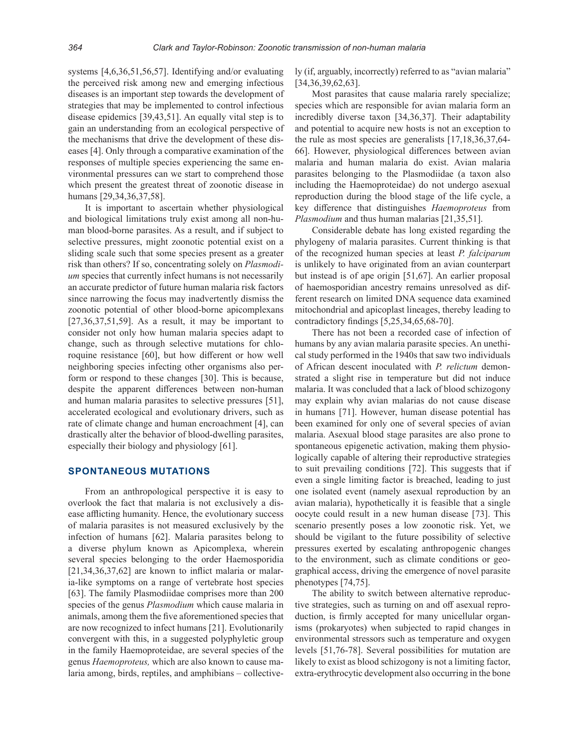systems [4,6,36,51,56,57]. Identifying and/or evaluating the perceived risk among new and emerging infectious diseases is an important step towards the development of strategies that may be implemented to control infectious disease epidemics [39,43,51]. An equally vital step is to gain an understanding from an ecological perspective of the mechanisms that drive the development of these diseases [4]. Only through a comparative examination of the responses of multiple species experiencing the same environmental pressures can we start to comprehend those which present the greatest threat of zoonotic disease in humans [29,34,36,37,58].

It is important to ascertain whether physiological and biological limitations truly exist among all non-human blood-borne parasites. As a result, and if subject to selective pressures, might zoonotic potential exist on a sliding scale such that some species present as a greater risk than others? If so, concentrating solely on *Plasmodium* species that currently infect humans is not necessarily an accurate predictor of future human malaria risk factors since narrowing the focus may inadvertently dismiss the zoonotic potential of other blood-borne apicomplexans  $[27,36,37,51,59]$ . As a result, it may be important to consider not only how human malaria species adapt to change, such as through selective mutations for chloroquine resistance [60], but how different or how well neighboring species infecting other organisms also perform or respond to these changes [30]. This is because, despite the apparent differences between non-human and human malaria parasites to selective pressures [51], accelerated ecological and evolutionary drivers, such as rate of climate change and human encroachment [4], can drastically alter the behavior of blood-dwelling parasites, especially their biology and physiology [61].

#### **SPONTANEOUS MUTATIONS**

From an anthropological perspective it is easy to overlook the fact that malaria is not exclusively a disease afflicting humanity. Hence, the evolutionary success of malaria parasites is not measured exclusively by the infection of humans [62]. Malaria parasites belong to a diverse phylum known as Apicomplexa, wherein several species belonging to the order Haemosporidia [21,34,36,37,62] are known to inflict malaria or malaria-like symptoms on a range of vertebrate host species [63]. The family Plasmodiidae comprises more than 200 species of the genus *Plasmodium* which cause malaria in animals, among them the five aforementioned species that are now recognized to infect humans [21]. Evolutionarily convergent with this, in a suggested polyphyletic group in the family Haemoproteidae, are several species of the genus *Haemoproteus,* which are also known to cause malaria among, birds, reptiles, and amphibians – collectively (if, arguably, incorrectly) referred to as "avian malaria" [34,36,39,62,63].

Most parasites that cause malaria rarely specialize; species which are responsible for avian malaria form an incredibly diverse taxon [34,36,37]. Their adaptability and potential to acquire new hosts is not an exception to the rule as most species are generalists [17,18,36,37,64- 66]. However, physiological differences between avian malaria and human malaria do exist. Avian malaria parasites belonging to the Plasmodiidae (a taxon also including the Haemoproteidae) do not undergo asexual reproduction during the blood stage of the life cycle, a key difference that distinguishes *Haemoproteus* from *Plasmodium* and thus human malarias [21,35,51].

Considerable debate has long existed regarding the phylogeny of malaria parasites. Current thinking is that of the recognized human species at least *P. falciparum* is unlikely to have originated from an avian counterpart but instead is of ape origin [51,67]. An earlier proposal of haemosporidian ancestry remains unresolved as different research on limited DNA sequence data examined mitochondrial and apicoplast lineages, thereby leading to contradictory findings [5,25,34,65,68-70].

There has not been a recorded case of infection of humans by any avian malaria parasite species. An unethical study performed in the 1940s that saw two individuals of African descent inoculated with *P. relictum* demonstrated a slight rise in temperature but did not induce malaria. It was concluded that a lack of blood schizogony may explain why avian malarias do not cause disease in humans [71]. However, human disease potential has been examined for only one of several species of avian malaria. Asexual blood stage parasites are also prone to spontaneous epigenetic activation, making them physiologically capable of altering their reproductive strategies to suit prevailing conditions [72]. This suggests that if even a single limiting factor is breached, leading to just one isolated event (namely asexual reproduction by an avian malaria), hypothetically it is feasible that a single oocyte could result in a new human disease [73]. This scenario presently poses a low zoonotic risk. Yet, we should be vigilant to the future possibility of selective pressures exerted by escalating anthropogenic changes to the environment, such as climate conditions or geographical access, driving the emergence of novel parasite phenotypes [74,75].

The ability to switch between alternative reproductive strategies, such as turning on and off asexual reproduction, is firmly accepted for many unicellular organisms (prokaryotes) when subjected to rapid changes in environmental stressors such as temperature and oxygen levels [51,76-78]. Several possibilities for mutation are likely to exist as blood schizogony is not a limiting factor, extra-erythrocytic development also occurring in the bone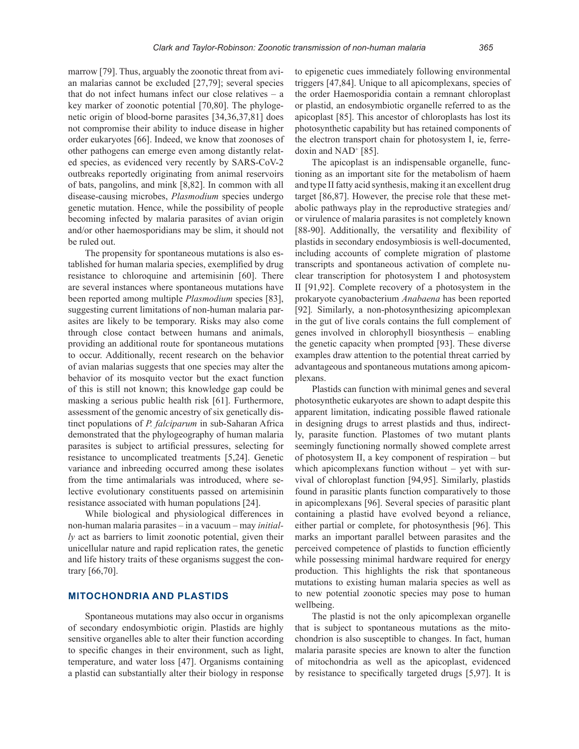marrow [79]. Thus, arguably the zoonotic threat from avian malarias cannot be excluded [27,79]; several species that do not infect humans infect our close relatives – a key marker of zoonotic potential [70,80]. The phylogenetic origin of blood-borne parasites [34,36,37,81] does not compromise their ability to induce disease in higher order eukaryotes [66]. Indeed, we know that zoonoses of other pathogens can emerge even among distantly related species, as evidenced very recently by SARS-CoV-2 outbreaks reportedly originating from animal reservoirs of bats, pangolins, and mink [8,82]. In common with all disease-causing microbes, *Plasmodium* species undergo genetic mutation. Hence, while the possibility of people becoming infected by malaria parasites of avian origin and/or other haemosporidians may be slim, it should not be ruled out.

The propensity for spontaneous mutations is also established for human malaria species, exemplified by drug resistance to chloroquine and artemisinin [60]. There are several instances where spontaneous mutations have been reported among multiple *Plasmodium* species [83], suggesting current limitations of non-human malaria parasites are likely to be temporary. Risks may also come through close contact between humans and animals, providing an additional route for spontaneous mutations to occur. Additionally, recent research on the behavior of avian malarias suggests that one species may alter the behavior of its mosquito vector but the exact function of this is still not known; this knowledge gap could be masking a serious public health risk [61]. Furthermore, assessment of the genomic ancestry of six genetically distinct populations of *P. falciparum* in sub-Saharan Africa demonstrated that the phylogeography of human malaria parasites is subject to artificial pressures, selecting for resistance to uncomplicated treatments [5,24]. Genetic variance and inbreeding occurred among these isolates from the time antimalarials was introduced, where selective evolutionary constituents passed on artemisinin resistance associated with human populations [24].

While biological and physiological differences in non-human malaria parasites – in a vacuum – may *initially* act as barriers to limit zoonotic potential, given their unicellular nature and rapid replication rates, the genetic and life history traits of these organisms suggest the contrary [66,70].

#### **MITOCHONDRIA AND PLASTIDS**

Spontaneous mutations may also occur in organisms of secondary endosymbiotic origin. Plastids are highly sensitive organelles able to alter their function according to specific changes in their environment, such as light, temperature, and water loss [47]. Organisms containing a plastid can substantially alter their biology in response

to epigenetic cues immediately following environmental triggers [47,84]. Unique to all apicomplexans, species of the order Haemosporidia contain a remnant chloroplast or plastid, an endosymbiotic organelle referred to as the apicoplast [85]. This ancestor of chloroplasts has lost its photosynthetic capability but has retained components of the electron transport chain for photosystem I, ie, ferredoxin and NAD<sup>+</sup> [85].

The apicoplast is an indispensable organelle, functioning as an important site for the metabolism of haem and type II fatty acid synthesis, making it an excellent drug target [86,87]. However, the precise role that these metabolic pathways play in the reproductive strategies and/ or virulence of malaria parasites is not completely known [88-90]. Additionally, the versatility and flexibility of plastids in secondary endosymbiosis is well-documented, including accounts of complete migration of plastome transcripts and spontaneous activation of complete nuclear transcription for photosystem I and photosystem II [91,92]. Complete recovery of a photosystem in the prokaryote cyanobacterium *Anabaena* has been reported [92]*.* Similarly, a non-photosynthesizing apicomplexan in the gut of live corals contains the full complement of genes involved in chlorophyll biosynthesis – enabling the genetic capacity when prompted [93]. These diverse examples draw attention to the potential threat carried by advantageous and spontaneous mutations among apicomplexans.

Plastids can function with minimal genes and several photosynthetic eukaryotes are shown to adapt despite this apparent limitation, indicating possible flawed rationale in designing drugs to arrest plastids and thus, indirectly, parasite function. Plastomes of two mutant plants seemingly functioning normally showed complete arrest of photosystem II, a key component of respiration – but which apicomplexans function without – yet with survival of chloroplast function [94,95]. Similarly, plastids found in parasitic plants function comparatively to those in apicomplexans [96]. Several species of parasitic plant containing a plastid have evolved beyond a reliance, either partial or complete, for photosynthesis [96]. This marks an important parallel between parasites and the perceived competence of plastids to function efficiently while possessing minimal hardware required for energy production. This highlights the risk that spontaneous mutations to existing human malaria species as well as to new potential zoonotic species may pose to human wellbeing.

The plastid is not the only apicomplexan organelle that is subject to spontaneous mutations as the mitochondrion is also susceptible to changes. In fact, human malaria parasite species are known to alter the function of mitochondria as well as the apicoplast, evidenced by resistance to specifically targeted drugs [5,97]. It is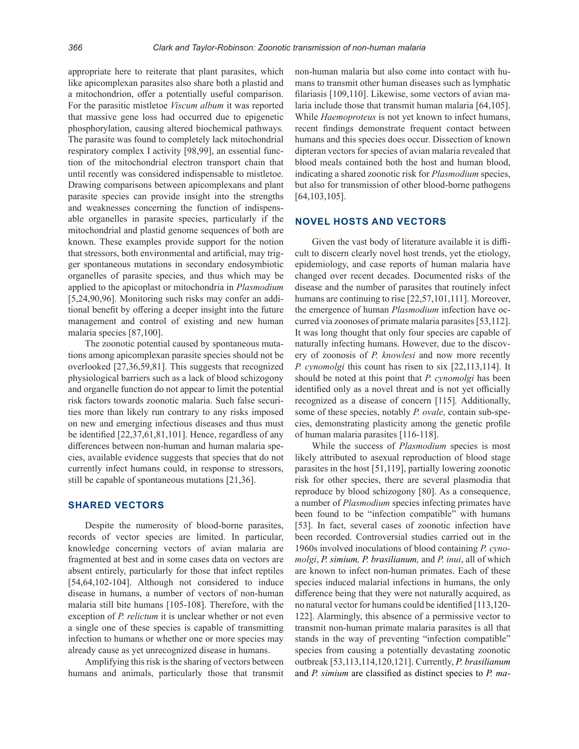appropriate here to reiterate that plant parasites, which like apicomplexan parasites also share both a plastid and a mitochondrion, offer a potentially useful comparison. For the parasitic mistletoe *Viscum album* it was reported that massive gene loss had occurred due to epigenetic phosphorylation, causing altered biochemical pathways*.*  The parasite was found to completely lack mitochondrial respiratory complex I activity [98,99], an essential function of the mitochondrial electron transport chain that until recently was considered indispensable to mistletoe. Drawing comparisons between apicomplexans and plant parasite species can provide insight into the strengths and weaknesses concerning the function of indispensable organelles in parasite species, particularly if the mitochondrial and plastid genome sequences of both are known. These examples provide support for the notion that stressors, both environmental and artificial, may trigger spontaneous mutations in secondary endosymbiotic organelles of parasite species, and thus which may be applied to the apicoplast or mitochondria in *Plasmodium* [5,24,90,96]. Monitoring such risks may confer an additional benefit by offering a deeper insight into the future management and control of existing and new human malaria species [87,100].

The zoonotic potential caused by spontaneous mutations among apicomplexan parasite species should not be overlooked [27,36,59,81]. This suggests that recognized physiological barriers such as a lack of blood schizogony and organelle function do not appear to limit the potential risk factors towards zoonotic malaria. Such false securities more than likely run contrary to any risks imposed on new and emerging infectious diseases and thus must be identified [22,37,61,81,101]. Hence, regardless of any differences between non-human and human malaria species, available evidence suggests that species that do not currently infect humans could, in response to stressors, still be capable of spontaneous mutations [21,36].

# **SHARED VECTORS**

Despite the numerosity of blood-borne parasites, records of vector species are limited. In particular, knowledge concerning vectors of avian malaria are fragmented at best and in some cases data on vectors are absent entirely, particularly for those that infect reptiles [54,64,102-104]. Although not considered to induce disease in humans, a number of vectors of non-human malaria still bite humans [105-108]. Therefore, with the exception of *P. relictum* it is unclear whether or not even a single one of these species is capable of transmitting infection to humans or whether one or more species may already cause as yet unrecognized disease in humans.

Amplifying this risk is the sharing of vectors between humans and animals, particularly those that transmit

non-human malaria but also come into contact with humans to transmit other human diseases such as lymphatic filariasis [109,110]. Likewise, some vectors of avian malaria include those that transmit human malaria [64,105]. While *Haemoproteus* is not yet known to infect humans, recent findings demonstrate frequent contact between humans and this species does occur. Dissection of known dipteran vectors for species of avian malaria revealed that blood meals contained both the host and human blood, indicating a shared zoonotic risk for *Plasmodium* species, but also for transmission of other blood-borne pathogens [64,103,105].

#### **NOVEL HOSTS AND VECTORS**

Given the vast body of literature available it is difficult to discern clearly novel host trends, yet the etiology, epidemiology, and case reports of human malaria have changed over recent decades. Documented risks of the disease and the number of parasites that routinely infect humans are continuing to rise [22,57,101,111]. Moreover, the emergence of human *Plasmodium* infection have occurred via zoonoses of primate malaria parasites [53,112]. It was long thought that only four species are capable of naturally infecting humans. However, due to the discovery of zoonosis of *P. knowlesi* and now more recently *P. cynomolgi* this count has risen to six [22,113,114]. It should be noted at this point that *P. cynomolgi* has been identified only as a novel threat and is not yet officially recognized as a disease of concern [115]*.* Additionally, some of these species, notably *P. ovale*, contain sub-species, demonstrating plasticity among the genetic profile of human malaria parasites [116-118].

While the success of *Plasmodium* species is most likely attributed to asexual reproduction of blood stage parasites in the host [51,119], partially lowering zoonotic risk for other species, there are several plasmodia that reproduce by blood schizogony [80]. As a consequence, a number of *Plasmodium* species infecting primates have been found to be "infection compatible" with humans [53]. In fact, several cases of zoonotic infection have been recorded. Controversial studies carried out in the 1960s involved inoculations of blood containing *P. cynomolgi*, *P. simium, P. brasilianum,* and *P. inui*, all of which are known to infect non-human primates. Each of these species induced malarial infections in humans, the only difference being that they were not naturally acquired, as no natural vector for humans could be identified [113,120- 122]. Alarmingly, this absence of a permissive vector to transmit non-human primate malaria parasites is all that stands in the way of preventing "infection compatible" species from causing a potentially devastating zoonotic outbreak [53,113,114,120,121]. Currently, *P. brasilianum* and *P. simium* are classified as distinct species to *P. ma-*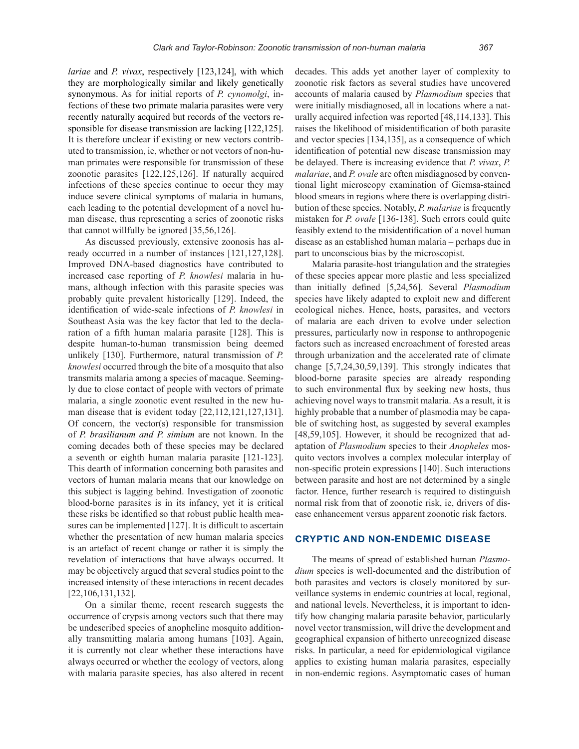*lariae* and *P. vivax*, respectively [123,124], with which they are morphologically similar and likely genetically synonymous. As for initial reports of *P. cynomolgi*, infections of these two primate malaria parasites were very recently naturally acquired but records of the vectors responsible for disease transmission are lacking [122,125]. It is therefore unclear if existing or new vectors contributed to transmission, ie, whether or not vectors of non-human primates were responsible for transmission of these zoonotic parasites [122,125,126]. If naturally acquired infections of these species continue to occur they may induce severe clinical symptoms of malaria in humans, each leading to the potential development of a novel human disease, thus representing a series of zoonotic risks that cannot willfully be ignored [35,56,126].

As discussed previously, extensive zoonosis has already occurred in a number of instances [121,127,128]. Improved DNA-based diagnostics have contributed to increased case reporting of *P. knowlesi* malaria in humans, although infection with this parasite species was probably quite prevalent historically [129]. Indeed, the identification of wide-scale infections of *P. knowlesi* in Southeast Asia was the key factor that led to the declaration of a fifth human malaria parasite [128]. This is despite human-to-human transmission being deemed unlikely [130]. Furthermore, natural transmission of *P. knowlesi* occurred through the bite of a mosquito that also transmits malaria among a species of macaque. Seemingly due to close contact of people with vectors of primate malaria, a single zoonotic event resulted in the new human disease that is evident today [22,112,121,127,131]. Of concern, the vector(s) responsible for transmission of *P. brasilianum and P. simium* are not known. In the coming decades both of these species may be declared a seventh or eighth human malaria parasite [121-123]. This dearth of information concerning both parasites and vectors of human malaria means that our knowledge on this subject is lagging behind. Investigation of zoonotic blood-borne parasites is in its infancy, yet it is critical these risks be identified so that robust public health measures can be implemented [127]. It is difficult to ascertain whether the presentation of new human malaria species is an artefact of recent change or rather it is simply the revelation of interactions that have always occurred. It may be objectively argued that several studies point to the increased intensity of these interactions in recent decades [22,106,131,132].

On a similar theme, recent research suggests the occurrence of crypsis among vectors such that there may be undescribed species of anopheline mosquito additionally transmitting malaria among humans [103]. Again, it is currently not clear whether these interactions have always occurred or whether the ecology of vectors, along with malaria parasite species, has also altered in recent

decades. This adds yet another layer of complexity to zoonotic risk factors as several studies have uncovered accounts of malaria caused by *Plasmodium* species that were initially misdiagnosed, all in locations where a naturally acquired infection was reported [48,114,133]. This raises the likelihood of misidentification of both parasite and vector species [134,135], as a consequence of which identification of potential new disease transmission may be delayed. There is increasing evidence that *P. vivax*, *P. malariae*, and *P. ovale* are often misdiagnosed by conventional light microscopy examination of Giemsa-stained blood smears in regions where there is overlapping distribution of these species. Notably, *P. malariae* is frequently mistaken for *P. ovale* [136-138]. Such errors could quite feasibly extend to the misidentification of a novel human disease as an established human malaria – perhaps due in part to unconscious bias by the microscopist.

Malaria parasite-host triangulation and the strategies of these species appear more plastic and less specialized than initially defined [5,24,56]. Several *Plasmodium* species have likely adapted to exploit new and different ecological niches. Hence, hosts, parasites, and vectors of malaria are each driven to evolve under selection pressures, particularly now in response to anthropogenic factors such as increased encroachment of forested areas through urbanization and the accelerated rate of climate change [5,7,24,30,59,139]. This strongly indicates that blood-borne parasite species are already responding to such environmental flux by seeking new hosts, thus achieving novel ways to transmit malaria. As a result, it is highly probable that a number of plasmodia may be capable of switching host, as suggested by several examples [48,59,105]. However, it should be recognized that adaptation of *Plasmodium* species to their *Anopheles* mosquito vectors involves a complex molecular interplay of non-specific protein expressions [140]. Such interactions between parasite and host are not determined by a single factor. Hence, further research is required to distinguish normal risk from that of zoonotic risk, ie, drivers of disease enhancement versus apparent zoonotic risk factors.

#### **CRYPTIC AND NON-ENDEMIC DISEASE**

The means of spread of established human *Plasmodium* species is well-documented and the distribution of both parasites and vectors is closely monitored by surveillance systems in endemic countries at local, regional, and national levels. Nevertheless, it is important to identify how changing malaria parasite behavior, particularly novel vector transmission, will drive the development and geographical expansion of hitherto unrecognized disease risks. In particular, a need for epidemiological vigilance applies to existing human malaria parasites, especially in non-endemic regions. Asymptomatic cases of human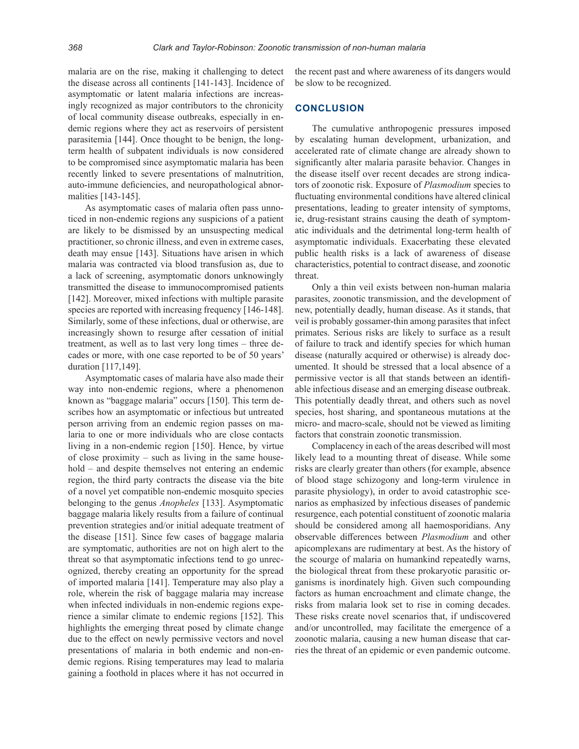malaria are on the rise, making it challenging to detect the disease across all continents [141-143]. Incidence of asymptomatic or latent malaria infections are increasingly recognized as major contributors to the chronicity of local community disease outbreaks, especially in endemic regions where they act as reservoirs of persistent parasitemia [144]. Once thought to be benign, the longterm health of subpatent individuals is now considered to be compromised since asymptomatic malaria has been recently linked to severe presentations of malnutrition, auto-immune deficiencies, and neuropathological abnormalities [143-145].

As asymptomatic cases of malaria often pass unnoticed in non-endemic regions any suspicions of a patient are likely to be dismissed by an unsuspecting medical practitioner, so chronic illness, and even in extreme cases, death may ensue [143]. Situations have arisen in which malaria was contracted via blood transfusion as, due to a lack of screening, asymptomatic donors unknowingly transmitted the disease to immunocompromised patients [142]. Moreover, mixed infections with multiple parasite species are reported with increasing frequency [146-148]. Similarly, some of these infections, dual or otherwise, are increasingly shown to resurge after cessation of initial treatment, as well as to last very long times – three decades or more, with one case reported to be of 50 years' duration [117,149].

Asymptomatic cases of malaria have also made their way into non-endemic regions, where a phenomenon known as "baggage malaria" occurs [150]. This term describes how an asymptomatic or infectious but untreated person arriving from an endemic region passes on malaria to one or more individuals who are close contacts living in a non-endemic region [150]. Hence, by virtue of close proximity – such as living in the same household – and despite themselves not entering an endemic region, the third party contracts the disease via the bite of a novel yet compatible non-endemic mosquito species belonging to the genus *Anopheles* [133]. Asymptomatic baggage malaria likely results from a failure of continual prevention strategies and/or initial adequate treatment of the disease [151]. Since few cases of baggage malaria are symptomatic, authorities are not on high alert to the threat so that asymptomatic infections tend to go unrecognized, thereby creating an opportunity for the spread of imported malaria [141]. Temperature may also play a role, wherein the risk of baggage malaria may increase when infected individuals in non-endemic regions experience a similar climate to endemic regions [152]. This highlights the emerging threat posed by climate change due to the effect on newly permissive vectors and novel presentations of malaria in both endemic and non-endemic regions. Rising temperatures may lead to malaria gaining a foothold in places where it has not occurred in

the recent past and where awareness of its dangers would be slow to be recognized.

## **CONCLUSION**

The cumulative anthropogenic pressures imposed by escalating human development, urbanization, and accelerated rate of climate change are already shown to significantly alter malaria parasite behavior. Changes in the disease itself over recent decades are strong indicators of zoonotic risk. Exposure of *Plasmodium* species to fluctuating environmental conditions have altered clinical presentations, leading to greater intensity of symptoms, ie, drug-resistant strains causing the death of symptomatic individuals and the detrimental long-term health of asymptomatic individuals. Exacerbating these elevated public health risks is a lack of awareness of disease characteristics, potential to contract disease, and zoonotic threat.

Only a thin veil exists between non-human malaria parasites, zoonotic transmission, and the development of new, potentially deadly, human disease. As it stands, that veil is probably gossamer-thin among parasites that infect primates. Serious risks are likely to surface as a result of failure to track and identify species for which human disease (naturally acquired or otherwise) is already documented. It should be stressed that a local absence of a permissive vector is all that stands between an identifiable infectious disease and an emerging disease outbreak. This potentially deadly threat, and others such as novel species, host sharing, and spontaneous mutations at the micro- and macro-scale, should not be viewed as limiting factors that constrain zoonotic transmission.

Complacency in each of the areas described will most likely lead to a mounting threat of disease. While some risks are clearly greater than others (for example, absence of blood stage schizogony and long-term virulence in parasite physiology), in order to avoid catastrophic scenarios as emphasized by infectious diseases of pandemic resurgence, each potential constituent of zoonotic malaria should be considered among all haemosporidians. Any observable differences between *Plasmodium* and other apicomplexans are rudimentary at best. As the history of the scourge of malaria on humankind repeatedly warns, the biological threat from these prokaryotic parasitic organisms is inordinately high. Given such compounding factors as human encroachment and climate change, the risks from malaria look set to rise in coming decades. These risks create novel scenarios that, if undiscovered and/or uncontrolled, may facilitate the emergence of a zoonotic malaria, causing a new human disease that carries the threat of an epidemic or even pandemic outcome.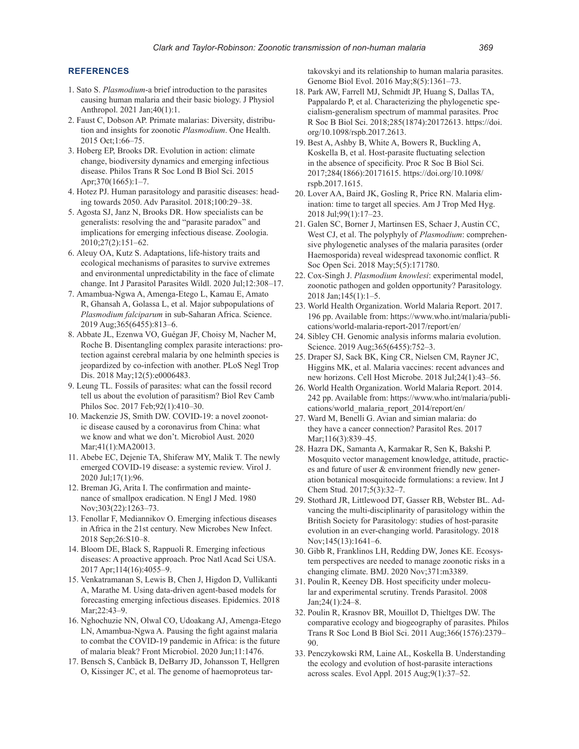#### **REFERENCES**

- 1. Sato S. *Plasmodium*-a brief introduction to the parasites causing human malaria and their basic biology. J Physiol Anthropol. 2021 Jan;40(1):1.
- 2. Faust C, Dobson AP. Primate malarias: Diversity, distribution and insights for zoonotic *Plasmodium*. One Health. 2015 Oct;1:66–75.
- 3. Hoberg EP, Brooks DR. Evolution in action: climate change, biodiversity dynamics and emerging infectious disease. Philos Trans R Soc Lond B Biol Sci. 2015 Apr;370(1665):1–7.
- 4. Hotez PJ. Human parasitology and parasitic diseases: heading towards 2050. Adv Parasitol. 2018;100:29–38.
- 5. Agosta SJ, Janz N, Brooks DR. How specialists can be generalists: resolving the and "parasite paradox" and implications for emerging infectious disease. Zoologia. 2010;27(2):151–62.
- 6. Aleuy OA, Kutz S. Adaptations, life-history traits and ecological mechanisms of parasites to survive extremes and environmental unpredictability in the face of climate change. Int J Parasitol Parasites Wildl. 2020 Jul;12:308–17.
- 7. Amambua-Ngwa A, Amenga-Etego L, Kamau E, Amato R, Ghansah A, Golassa L, et al. Major subpopulations of *Plasmodium falciparum* in sub-Saharan Africa. Science. 2019 Aug;365(6455):813–6.
- 8. Abbate JL, Ezenwa VO, Guégan JF, Choisy M, Nacher M, Roche B. Disentangling complex parasite interactions: protection against cerebral malaria by one helminth species is jeopardized by co-infection with another. PLoS Negl Trop Dis. 2018 May;12(5):e0006483.
- 9. Leung TL. Fossils of parasites: what can the fossil record tell us about the evolution of parasitism? Biol Rev Camb Philos Soc. 2017 Feb;92(1):410–30.
- 10. Mackenzie JS, Smith DW. COVID-19: a novel zoonotic disease caused by a coronavirus from China: what we know and what we don't. Microbiol Aust. 2020 Mar;41(1):MA20013.
- 11. Abebe EC, Dejenie TA, Shiferaw MY, Malik T. The newly emerged COVID-19 disease: a systemic review. Virol J. 2020 Jul;17(1):96.
- 12. Breman JG, Arita I. The confirmation and maintenance of smallpox eradication. N Engl J Med. 1980 Nov;303(22):1263–73.
- 13. Fenollar F, Mediannikov O. Emerging infectious diseases in Africa in the 21st century. New Microbes New Infect. 2018 Sep;26:S10–8.
- 14. Bloom DE, Black S, Rappuoli R. Emerging infectious diseases: A proactive approach. Proc Natl Acad Sci USA. 2017 Apr;114(16):4055–9.
- 15. Venkatramanan S, Lewis B, Chen J, Higdon D, Vullikanti A, Marathe M. Using data-driven agent-based models for forecasting emerging infectious diseases. Epidemics. 2018 Mar;22:43–9.
- 16. Nghochuzie NN, Olwal CO, Udoakang AJ, Amenga-Etego LN, Amambua-Ngwa A. Pausing the fight against malaria to combat the COVID-19 pandemic in Africa: is the future of malaria bleak? Front Microbiol. 2020 Jun;11:1476.
- 17. Bensch S, Canbäck B, DeBarry JD, Johansson T, Hellgren O, Kissinger JC, et al. The genome of haemoproteus tar-

takovskyi and its relationship to human malaria parasites. Genome Biol Evol. 2016 May;8(5):1361–73.

- 18. Park AW, Farrell MJ, Schmidt JP, Huang S, Dallas TA, Pappalardo P, et al. Characterizing the phylogenetic specialism-generalism spectrum of mammal parasites. Proc R Soc B Biol Sci. 2018;285(1874):20172613. https://doi. org/10.1098/rspb.2017.2613.
- 19. Best A, Ashby B, White A, Bowers R, Buckling A, Koskella B, et al. Host-parasite fluctuating selection in the absence of specificity. Proc R Soc B Biol Sci. 2017;284(1866):20171615. https://doi.org/10.1098/ rspb.2017.1615.
- 20. Lover AA, Baird JK, Gosling R, Price RN. Malaria elimination: time to target all species. Am J Trop Med Hyg. 2018 Jul;99(1):17–23.
- 21. Galen SC, Borner J, Martinsen ES, Schaer J, Austin CC, West CJ, et al. The polyphyly of *Plasmodium*: comprehensive phylogenetic analyses of the malaria parasites (order Haemosporida) reveal widespread taxonomic conflict. R Soc Open Sci. 2018 May;5(5):171780.
- 22. Cox-Singh J. *Plasmodium knowlesi*: experimental model, zoonotic pathogen and golden opportunity? Parasitology. 2018 Jan;145(1):1–5.
- 23. World Health Organization. World Malaria Report. 2017. 196 pp. Available from: https://www.who.int/malaria/publications/world-malaria-report-2017/report/en/
- 24. Sibley CH. Genomic analysis informs malaria evolution. Science. 2019 Aug;365(6455):752–3.
- 25. Draper SJ, Sack BK, King CR, Nielsen CM, Rayner JC, Higgins MK, et al. Malaria vaccines: recent advances and new horizons. Cell Host Microbe. 2018 Jul;24(1):43–56.
- 26. World Health Organization. World Malaria Report. 2014. 242 pp. Available from: https://www.who.int/malaria/publications/world\_malaria\_report\_2014/report/en/
- 27. Ward M, Benelli G. Avian and simian malaria: do they have a cancer connection? Parasitol Res. 2017 Mar;116(3):839-45.
- 28. Hazra DK, Samanta A, Karmakar R, Sen K, Bakshi P. Mosquito vector management knowledge, attitude, practices and future of user & environment friendly new generation botanical mosquitocide formulations: a review. Int J Chem Stud. 2017;5(3):32–7.
- 29. Stothard JR, Littlewood DT, Gasser RB, Webster BL. Advancing the multi-disciplinarity of parasitology within the British Society for Parasitology: studies of host-parasite evolution in an ever-changing world. Parasitology. 2018 Nov;145(13):1641–6.
- 30. Gibb R, Franklinos LH, Redding DW, Jones KE. Ecosystem perspectives are needed to manage zoonotic risks in a changing climate. BMJ. 2020 Nov;371:m3389.
- 31. Poulin R, Keeney DB. Host specificity under molecular and experimental scrutiny. Trends Parasitol. 2008 Jan;24(1):24–8.
- 32. Poulin R, Krasnov BR, Mouillot D, Thieltges DW. The comparative ecology and biogeography of parasites. Philos Trans R Soc Lond B Biol Sci. 2011 Aug;366(1576):2379– 90.
- 33. Penczykowski RM, Laine AL, Koskella B. Understanding the ecology and evolution of host-parasite interactions across scales. Evol Appl. 2015 Aug;9(1):37–52.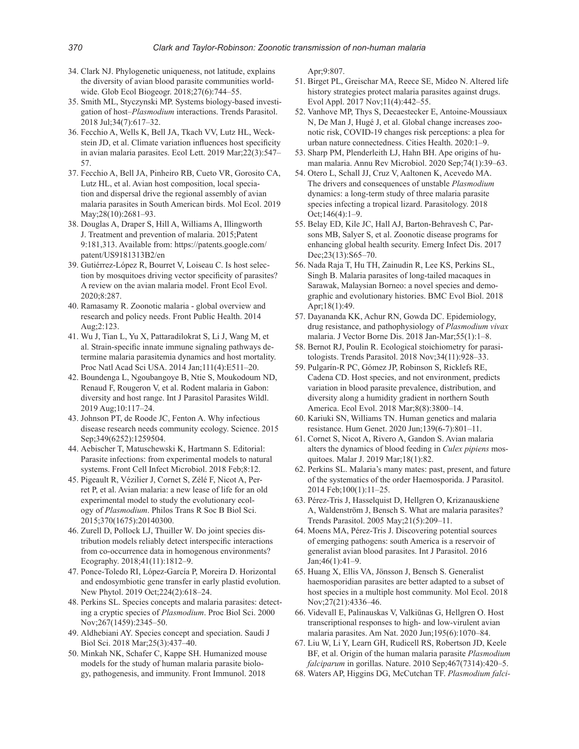- 34. Clark NJ. Phylogenetic uniqueness, not latitude, explains the diversity of avian blood parasite communities worldwide. Glob Ecol Biogeogr. 2018;27(6):744–55.
- 35. Smith ML, Styczynski MP. Systems biology-based investigation of host–*Plasmodium* interactions. Trends Parasitol. 2018 Jul;34(7):617–32.
- 36. Fecchio A, Wells K, Bell JA, Tkach VV, Lutz HL, Weckstein JD, et al. Climate variation influences host specificity in avian malaria parasites. Ecol Lett. 2019 Mar;22(3):547– 57.
- 37. Fecchio A, Bell JA, Pinheiro RB, Cueto VR, Gorosito CA, Lutz HL, et al. Avian host composition, local speciation and dispersal drive the regional assembly of avian malaria parasites in South American birds. Mol Ecol. 2019 May; 28(10): 2681-93.
- 38. Douglas A, Draper S, Hill A, Williams A, Illingworth J. Treatment and prevention of malaria. 2015;Patent 9:181,313. Available from: https://patents.google.com/ patent/US9181313B2/en
- 39. Gutiérrez-López R, Bourret V, Loiseau C. Is host selection by mosquitoes driving vector specificity of parasites? A review on the avian malaria model. Front Ecol Evol. 2020;8:287.
- 40. Ramasamy R. Zoonotic malaria global overview and research and policy needs. Front Public Health. 2014 Aug;2:123.
- 41. Wu J, Tian L, Yu X, Pattaradilokrat S, Li J, Wang M, et al. Strain-specific innate immune signaling pathways determine malaria parasitemia dynamics and host mortality. Proc Natl Acad Sci USA. 2014 Jan;111(4):E511–20.
- 42. Boundenga L, Ngoubangoye B, Ntie S, Moukodoum ND, Renaud F, Rougeron V, et al. Rodent malaria in Gabon: diversity and host range. Int J Parasitol Parasites Wildl. 2019 Aug;10:117–24.
- 43. Johnson PT, de Roode JC, Fenton A. Why infectious disease research needs community ecology. Science. 2015 Sep;349(6252):1259504.
- 44. Aebischer T, Matuschewski K, Hartmann S. Editorial: Parasite infections: from experimental models to natural systems. Front Cell Infect Microbiol. 2018 Feb;8:12.
- 45. Pigeault R, Vézilier J, Cornet S, Zélé F, Nicot A, Perret P, et al. Avian malaria: a new lease of life for an old experimental model to study the evolutionary ecology of *Plasmodium*. Philos Trans R Soc B Biol Sci. 2015;370(1675):20140300.
- 46. Zurell D, Pollock LJ, Thuiller W. Do joint species distribution models reliably detect interspecific interactions from co-occurrence data in homogenous environments? Ecography. 2018;41(11):1812–9.
- 47. Ponce-Toledo RI, López-García P, Moreira D. Horizontal and endosymbiotic gene transfer in early plastid evolution. New Phytol. 2019 Oct;224(2):618–24.
- 48. Perkins SL. Species concepts and malaria parasites: detecting a cryptic species of *Plasmodium*. Proc Biol Sci. 2000 Nov;267(1459):2345–50.
- 49. Aldhebiani AY. Species concept and speciation. Saudi J Biol Sci. 2018 Mar;25(3):437–40.
- 50. Minkah NK, Schafer C, Kappe SH. Humanized mouse models for the study of human malaria parasite biology, pathogenesis, and immunity. Front Immunol. 2018

Apr;9:807.

- 51. Birget PL, Greischar MA, Reece SE, Mideo N. Altered life history strategies protect malaria parasites against drugs. Evol Appl. 2017 Nov;11(4):442–55.
- 52. Vanhove MP, Thys S, Decaestecker E, Antoine-Moussiaux N, De Man J, Hugé J, et al. Global change increases zoonotic risk, COVID-19 changes risk perceptions: a plea for urban nature connectedness. Cities Health. 2020:1–9.
- 53. Sharp PM, Plenderleith LJ, Hahn BH. Ape origins of human malaria. Annu Rev Microbiol. 2020 Sep;74(1):39–63.
- 54. Otero L, Schall JJ, Cruz V, Aaltonen K, Acevedo MA. The drivers and consequences of unstable *Plasmodium* dynamics: a long-term study of three malaria parasite species infecting a tropical lizard. Parasitology. 2018 Oct;146(4):1–9.
- 55. Belay ED, Kile JC, Hall AJ, Barton-Behravesh C, Parsons MB, Salyer S, et al. Zoonotic disease programs for enhancing global health security. Emerg Infect Dis. 2017 Dec; 23(13): S65–70.
- 56. Nada Raja T, Hu TH, Zainudin R, Lee KS, Perkins SL, Singh B. Malaria parasites of long-tailed macaques in Sarawak, Malaysian Borneo: a novel species and demographic and evolutionary histories. BMC Evol Biol. 2018 Apr;18(1):49.
- 57. Dayananda KK, Achur RN, Gowda DC. Epidemiology, drug resistance, and pathophysiology of *Plasmodium vivax* malaria. J Vector Borne Dis. 2018 Jan-Mar;55(1):1–8.
- 58. Bernot RJ, Poulin R. Ecological stoichiometry for parasitologists. Trends Parasitol. 2018 Nov;34(11):928–33.
- 59. Pulgarín-R PC, Gómez JP, Robinson S, Ricklefs RE, Cadena CD. Host species, and not environment, predicts variation in blood parasite prevalence, distribution, and diversity along a humidity gradient in northern South America. Ecol Evol. 2018 Mar;8(8):3800–14.
- 60. Kariuki SN, Williams TN. Human genetics and malaria resistance. Hum Genet. 2020 Jun;139(6-7):801–11.
- 61. Cornet S, Nicot A, Rivero A, Gandon S. Avian malaria alters the dynamics of blood feeding in *Culex pipiens* mosquitoes. Malar J. 2019 Mar;18(1):82.
- 62. Perkins SL. Malaria's many mates: past, present, and future of the systematics of the order Haemosporida. J Parasitol. 2014 Feb;100(1):11–25.
- 63. Pérez-Tris J, Hasselquist D, Hellgren O, Krizanauskiene A, Waldenström J, Bensch S. What are malaria parasites? Trends Parasitol. 2005 May;21(5):209–11.
- 64. Moens MA, Pérez-Tris J. Discovering potential sources of emerging pathogens: south America is a reservoir of generalist avian blood parasites. Int J Parasitol. 2016 Jan;46(1):41–9.
- 65. Huang X, Ellis VA, Jönsson J, Bensch S. Generalist haemosporidian parasites are better adapted to a subset of host species in a multiple host community. Mol Ecol. 2018 Nov;27(21):4336–46.
- 66. Videvall E, Palinauskas V, Valkiūnas G, Hellgren O. Host transcriptional responses to high- and low-virulent avian malaria parasites. Am Nat. 2020 Jun;195(6):1070–84.
- 67. Liu W, Li Y, Learn GH, Rudicell RS, Robertson JD, Keele BF, et al. Origin of the human malaria parasite *Plasmodium falciparum* in gorillas. Nature. 2010 Sep;467(7314):420–5.
- 68. Waters AP, Higgins DG, McCutchan TF. *Plasmodium falci-*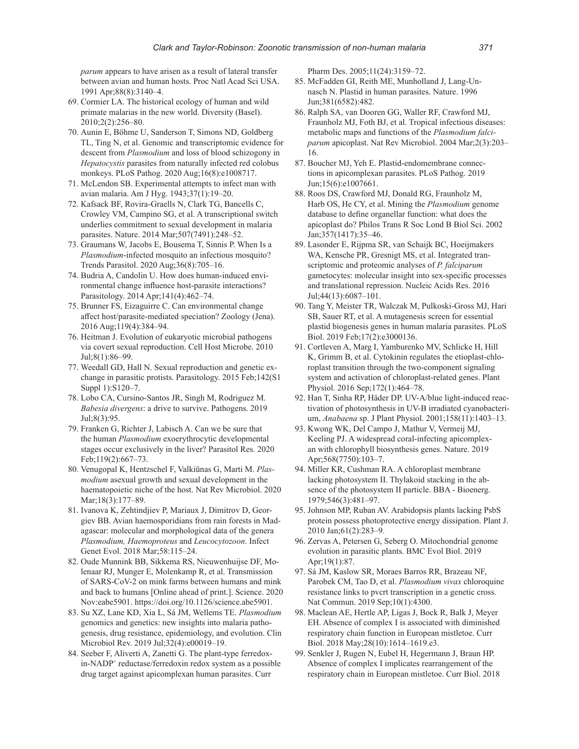*parum* appears to have arisen as a result of lateral transfer between avian and human hosts. Proc Natl Acad Sci USA. 1991 Apr;88(8):3140–4.

- 69. Cormier LA. The historical ecology of human and wild primate malarias in the new world. Diversity (Basel). 2010;2(2):256–80.
- 70. Aunin E, Böhme U, Sanderson T, Simons ND, Goldberg TL, Ting N, et al. Genomic and transcriptomic evidence for descent from *Plasmodium* and loss of blood schizogony in *Hepatocystis* parasites from naturally infected red colobus monkeys. PLoS Pathog. 2020 Aug;16(8):e1008717.
- 71. McLendon SB. Experimental attempts to infect man with avian malaria. Am J Hyg. 1943;37(1):19–20.
- 72. Kafsack BF, Rovira-Graells N, Clark TG, Bancells C, Crowley VM, Campino SG, et al. A transcriptional switch underlies commitment to sexual development in malaria parasites. Nature. 2014 Mar;507(7491):248–52.
- 73. Graumans W, Jacobs E, Bousema T, Sinnis P. When Is a *Plasmodium*-infected mosquito an infectious mosquito? Trends Parasitol. 2020 Aug;36(8):705–16.
- 74. Budria A, Candolin U. How does human-induced environmental change influence host-parasite interactions? Parasitology. 2014 Apr;141(4):462–74.
- 75. Brunner FS, Eizaguirre C. Can environmental change affect host/parasite-mediated speciation? Zoology (Jena). 2016 Aug;119(4):384–94.
- 76. Heitman J. Evolution of eukaryotic microbial pathogens via covert sexual reproduction. Cell Host Microbe. 2010 Jul;8(1):86–99.
- 77. Weedall GD, Hall N. Sexual reproduction and genetic exchange in parasitic protists. Parasitology. 2015 Feb;142(S1 Suppl 1):S120–7.
- 78. Lobo CA, Cursino-Santos JR, Singh M, Rodriguez M. *Babesia divergens*: a drive to survive. Pathogens. 2019 Jul;8(3):95.
- 79. Franken G, Richter J, Labisch A. Can we be sure that the human *Plasmodium* exoerythrocytic developmental stages occur exclusively in the liver? Parasitol Res. 2020 Feb;119(2):667–73.
- 80. Venugopal K, Hentzschel F, Valkiūnas G, Marti M. *Plasmodium* asexual growth and sexual development in the haematopoietic niche of the host. Nat Rev Microbiol. 2020 Mar;18(3):177–89.
- 81. Ivanova K, Zehtindjiev P, Mariaux J, Dimitrov D, Georgiev BB. Avian haemosporidians from rain forests in Madagascar: molecular and morphological data of the genera *Plasmodium, Haemoproteus* and *Leucocytozoon*. Infect Genet Evol. 2018 Mar;58:115–24.
- 82. Oude Munnink BB, Sikkema RS, Nieuwenhuijse DF, Molenaar RJ, Munger E, Molenkamp R, et al. Transmission of SARS-CoV-2 on mink farms between humans and mink and back to humans [Online ahead of print.]. Science. 2020 Nov:eabe5901. https://doi.org/10.1126/science.abe5901.
- 83. Su XZ, Lane KD, Xia L, Sá JM, Wellems TE. *Plasmodium* genomics and genetics: new insights into malaria pathogenesis, drug resistance, epidemiology, and evolution. Clin Microbiol Rev. 2019 Jul;32(4):e00019–19.
- 84. Seeber F, Aliverti A, Zanetti G. The plant-type ferredoxin-NADP+ reductase/ferredoxin redox system as a possible drug target against apicomplexan human parasites. Curr

Pharm Des. 2005;11(24):3159–72.

- 85. McFadden GI, Reith ME, Munholland J, Lang-Unnasch N. Plastid in human parasites. Nature. 1996 Jun;381(6582):482.
- 86. Ralph SA, van Dooren GG, Waller RF, Crawford MJ, Fraunholz MJ, Foth BJ, et al. Tropical infectious diseases: metabolic maps and functions of the *Plasmodium falciparum* apicoplast. Nat Rev Microbiol. 2004 Mar;2(3):203– 16.
- 87. Boucher MJ, Yeh E. Plastid-endomembrane connections in apicomplexan parasites. PLoS Pathog. 2019 Jun;15(6):e1007661.
- 88. Roos DS, Crawford MJ, Donald RG, Fraunholz M, Harb OS, He CY, et al. Mining the *Plasmodium* genome database to define organellar function: what does the apicoplast do? Philos Trans R Soc Lond B Biol Sci. 2002 Jan;357(1417):35–46.
- 89. Lasonder E, Rijpma SR, van Schaijk BC, Hoeijmakers WA, Kensche PR, Gresnigt MS, et al. Integrated transcriptomic and proteomic analyses of *P. falciparum* gametocytes: molecular insight into sex-specific processes and translational repression. Nucleic Acids Res. 2016 Jul;44(13):6087–101.
- 90. Tang Y, Meister TR, Walczak M, Pulkoski-Gross MJ, Hari SB, Sauer RT, et al. A mutagenesis screen for essential plastid biogenesis genes in human malaria parasites. PLoS Biol. 2019 Feb;17(2):e3000136.
- 91. Cortleven A, Marg I, Yamburenko MV, Schlicke H, Hill K, Grimm B, et al. Cytokinin regulates the etioplast-chloroplast transition through the two-component signaling system and activation of chloroplast-related genes. Plant Physiol. 2016 Sep;172(1):464–78.
- 92. Han T, Sinha RP, Häder DP. UV-A/blue light-induced reactivation of photosynthesis in UV-B irradiated cyanobacterium, *Anabaena* sp. J Plant Physiol. 2001;158(11):1403–13.
- 93. Kwong WK, Del Campo J, Mathur V, Vermeij MJ, Keeling PJ. A widespread coral-infecting apicomplexan with chlorophyll biosynthesis genes. Nature. 2019 Apr;568(7750):103–7.
- 94. Miller KR, Cushman RA. A chloroplast membrane lacking photosystem II. Thylakoid stacking in the absence of the photosystem II particle. BBA - Bioenerg. 1979;546(3):481–97.
- 95. Johnson MP, Ruban AV. Arabidopsis plants lacking PsbS protein possess photoprotective energy dissipation. Plant J. 2010 Jan;61(2):283–9.
- 96. Zervas A, Petersen G, Seberg O. Mitochondrial genome evolution in parasitic plants. BMC Evol Biol. 2019 Apr;19(1):87.
- 97. Sá JM, Kaslow SR, Moraes Barros RR, Brazeau NF, Parobek CM, Tao D, et al. *Plasmodium vivax* chloroquine resistance links to pvcrt transcription in a genetic cross. Nat Commun. 2019 Sep;10(1):4300.
- 98. Maclean AE, Hertle AP, Ligas J, Bock R, Balk J, Meyer EH. Absence of complex I is associated with diminished respiratory chain function in European mistletoe. Curr Biol. 2018 May;28(10):1614–1619.e3.
- 99. Senkler J, Rugen N, Eubel H, Hegermann J, Braun HP. Absence of complex I implicates rearrangement of the respiratory chain in European mistletoe. Curr Biol. 2018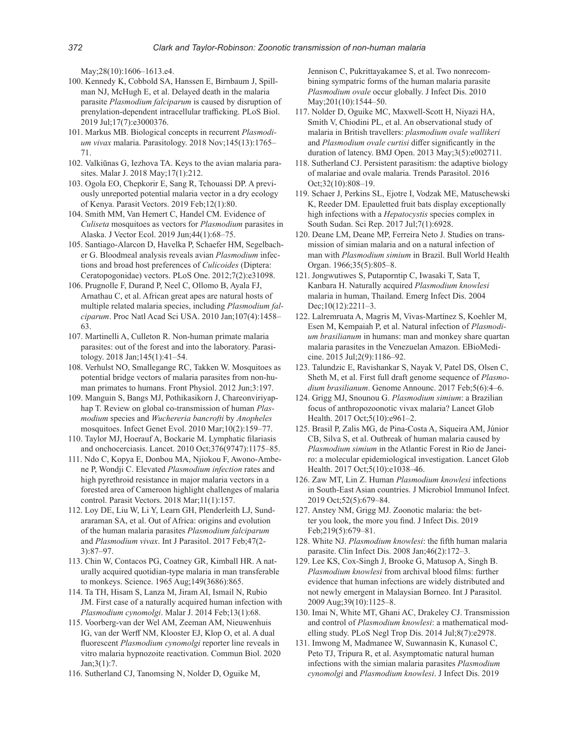May;28(10):1606–1613.e4.

- 100. Kennedy K, Cobbold SA, Hanssen E, Birnbaum J, Spillman NJ, McHugh E, et al. Delayed death in the malaria parasite *Plasmodium falciparum* is caused by disruption of prenylation-dependent intracellular trafficking. PLoS Biol. 2019 Jul;17(7):e3000376.
- 101. Markus MB. Biological concepts in recurrent *Plasmodium vivax* malaria. Parasitology. 2018 Nov;145(13):1765– 71.
- 102. Valkiūnas G, Iezhova TA. Keys to the avian malaria parasites. Malar J. 2018 May;17(1):212.
- 103. Ogola EO, Chepkorir E, Sang R, Tchouassi DP. A previously unreported potential malaria vector in a dry ecology of Kenya. Parasit Vectors. 2019 Feb;12(1):80.
- 104. Smith MM, Van Hemert C, Handel CM. Evidence of *Culiseta* mosquitoes as vectors for *Plasmodium* parasites in Alaska. J Vector Ecol. 2019 Jun;44(1):68–75.
- 105. Santiago-Alarcon D, Havelka P, Schaefer HM, Segelbacher G. Bloodmeal analysis reveals avian *Plasmodium* infections and broad host preferences of *Culicoides* (Diptera: Ceratopogonidae) vectors. PLoS One. 2012;7(2):e31098.
- 106. Prugnolle F, Durand P, Neel C, Ollomo B, Ayala FJ, Arnathau C, et al. African great apes are natural hosts of multiple related malaria species, including *Plasmodium falciparum*. Proc Natl Acad Sci USA. 2010 Jan;107(4):1458– 63.
- 107. Martinelli A, Culleton R. Non-human primate malaria parasites: out of the forest and into the laboratory. Parasitology. 2018 Jan;145(1):41–54.
- 108. Verhulst NO, Smallegange RC, Takken W. Mosquitoes as potential bridge vectors of malaria parasites from non-human primates to humans. Front Physiol. 2012 Jun;3:197.
- 109. Manguin S, Bangs MJ, Pothikasikorn J, Chareonviriyaphap T. Review on global co-transmission of human *Plasmodium* species and *Wuchereria bancrofti* by *Anopheles* mosquitoes. Infect Genet Evol. 2010 Mar;10(2):159–77.
- 110. Taylor MJ, Hoerauf A, Bockarie M. Lymphatic filariasis and onchocerciasis. Lancet. 2010 Oct;376(9747):1175–85.
- 111. Ndo C, Kopya E, Donbou MA, Njiokou F, Awono-Ambene P, Wondji C. Elevated *Plasmodium infection* rates and high pyrethroid resistance in major malaria vectors in a forested area of Cameroon highlight challenges of malaria control. Parasit Vectors. 2018 Mar;11(1):157.
- 112. Loy DE, Liu W, Li Y, Learn GH, Plenderleith LJ, Sundararaman SA, et al. Out of Africa: origins and evolution of the human malaria parasites *Plasmodium falciparum* and *Plasmodium vivax*. Int J Parasitol. 2017 Feb;47(2- 3):87–97.
- 113. Chin W, Contacos PG, Coatney GR, Kimball HR. A naturally acquired quotidian-type malaria in man transferable to monkeys. Science. 1965 Aug;149(3686):865.
- 114. Ta TH, Hisam S, Lanza M, Jiram AI, Ismail N, Rubio JM. First case of a naturally acquired human infection with *Plasmodium cynomolgi*. Malar J. 2014 Feb;13(1):68.
- 115. Voorberg-van der Wel AM, Zeeman AM, Nieuwenhuis IG, van der Werff NM, Klooster EJ, Klop O, et al. A dual fluorescent *Plasmodium cynomolgi* reporter line reveals in vitro malaria hypnozoite reactivation. Commun Biol. 2020 Jan;3(1):7.
- 116. Sutherland CJ, Tanomsing N, Nolder D, Oguike M,

Jennison C, Pukrittayakamee S, et al. Two nonrecombining sympatric forms of the human malaria parasite *Plasmodium ovale* occur globally. J Infect Dis. 2010 May; 201(10): 1544–50.

- 117. Nolder D, Oguike MC, Maxwell-Scott H, Niyazi HA, Smith V, Chiodini PL, et al. An observational study of malaria in British travellers: *plasmodium ovale wallikeri* and *Plasmodium ovale curtisi* differ significantly in the duration of latency. BMJ Open. 2013 May;3(5):e002711.
- 118. Sutherland CJ. Persistent parasitism: the adaptive biology of malariae and ovale malaria. Trends Parasitol. 2016 Oct;32(10):808–19.
- 119. Schaer J, Perkins SL, Ejotre I, Vodzak ME, Matuschewski K, Reeder DM. Epauletted fruit bats display exceptionally high infections with a *Hepatocystis* species complex in South Sudan. Sci Rep. 2017 Jul;7(1):6928.
- 120. Deane LM, Deane MP, Ferreira Neto J. Studies on transmission of simian malaria and on a natural infection of man with *Plasmodium simium* in Brazil. Bull World Health Organ. 1966;35(5):805–8.
- 121. Jongwutiwes S, Putaporntip C, Iwasaki T, Sata T, Kanbara H. Naturally acquired *Plasmodium knowlesi* malaria in human, Thailand. Emerg Infect Dis. 2004 Dec;10(12):2211-3.
- 122. Lalremruata A, Magris M, Vivas-Martínez S, Koehler M, Esen M, Kempaiah P, et al. Natural infection of *Plasmodium brasilianum* in humans: man and monkey share quartan malaria parasites in the Venezuelan Amazon. EBioMedicine. 2015 Jul;2(9):1186–92.
- 123. Talundzic E, Ravishankar S, Nayak V, Patel DS, Olsen C, Sheth M, et al. First full draft genome sequence of *Plasmodium brasilianum*. Genome Announc. 2017 Feb;5(6):4–6.
- 124. Grigg MJ, Snounou G. *Plasmodium simium*: a Brazilian focus of anthropozoonotic vivax malaria? Lancet Glob Health. 2017 Oct;5(10):e961–2.
- 125. Brasil P, Zalis MG, de Pina-Costa A, Siqueira AM, Júnior CB, Silva S, et al. Outbreak of human malaria caused by *Plasmodium simium* in the Atlantic Forest in Rio de Janeiro: a molecular epidemiological investigation. Lancet Glob Health. 2017 Oct;5(10):e1038–46.
- 126. Zaw MT, Lin Z. Human *Plasmodium knowlesi* infections in South-East Asian countries. J Microbiol Immunol Infect. 2019 Oct;52(5):679–84.
- 127. Anstey NM, Grigg MJ. Zoonotic malaria: the better you look, the more you find. J Infect Dis. 2019 Feb;219(5):679–81.
- 128. White NJ. *Plasmodium knowlesi*: the fifth human malaria parasite. Clin Infect Dis. 2008 Jan;46(2):172–3.
- 129. Lee KS, Cox-Singh J, Brooke G, Matusop A, Singh B. *Plasmodium knowlesi* from archival blood films: further evidence that human infections are widely distributed and not newly emergent in Malaysian Borneo. Int J Parasitol. 2009 Aug;39(10):1125–8.
- 130. Imai N, White MT, Ghani AC, Drakeley CJ. Transmission and control of *Plasmodium knowlesi*: a mathematical modelling study. PLoS Negl Trop Dis. 2014 Jul;8(7):e2978.
- 131. Imwong M, Madmanee W, Suwannasin K, Kunasol C, Peto TJ, Tripura R, et al. Asymptomatic natural human infections with the simian malaria parasites *Plasmodium cynomolgi* and *Plasmodium knowlesi*. J Infect Dis. 2019